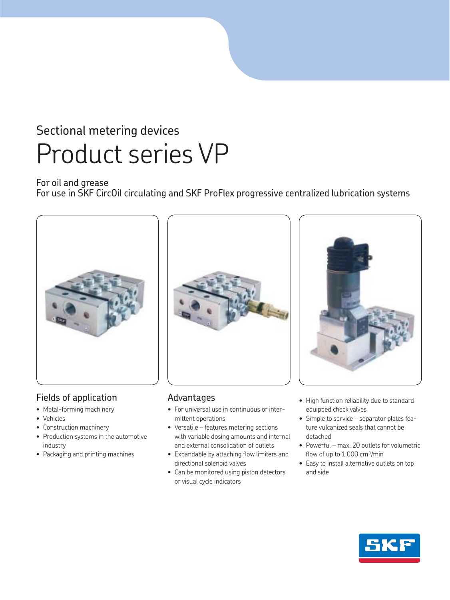## For oil and grease

For use in SKF CircOil circulating and SKF ProFlex progressive centralized lubrication systems



## Fields of application

- Metal-forming machinery
- Vehicles
- Construction machinery
- Production systems in the automotive industry
- Packaging and printing machines



## Advantages

- For universal use in continuous or intermittent operations
- Versatile features metering sections with variable dosing amounts and internal and external consolidation of outlets
- Expandable by attaching flow limiters and directional solenoid valves
- Can be monitored using piston detectors or visual cycle indicators



- High function reliability due to standard equipped check valves
- Simple to service separator plates feature vulcanized seals that cannot be detached
- Powerful max. 20 outlets for volumetric flow of up to  $1000 \text{ cm}^3/\text{min}$
- Easy to install alternative outlets on top and side

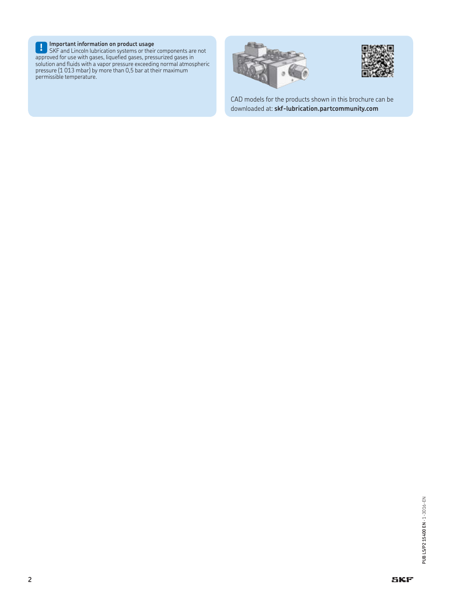**! Important information on product usage** SKF and Lincoln lubrication systems or their components are not approved for use with gases, liquefied gases, pressurized gases in solution and fluids with a vapor pressure exceeding normal atmospheric pressure (1 013 mbar) by more than 0,5 bar at their maximum permissible temperature.





CAD models for the products shown in this brochure can be downloaded at: **skf-lubrication.partcommunity.com**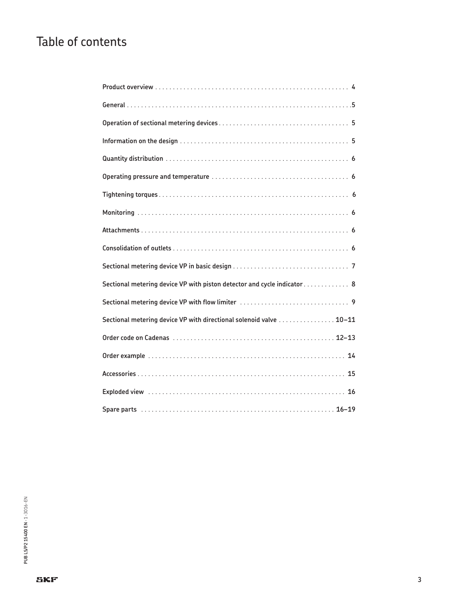# Table of contents

| Sectional metering device VP with piston detector and cycle indicator 8 |
|-------------------------------------------------------------------------|
|                                                                         |
| Sectional metering device VP with directional solenoid valve  10-11     |
|                                                                         |
|                                                                         |
|                                                                         |
|                                                                         |
|                                                                         |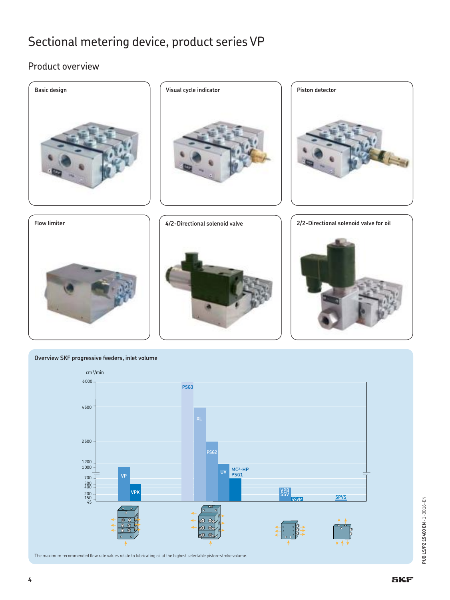## Product overview

















PUB LS/P215400 EN - 1-3016-EN **PUB LS/P2 15400 EN** · 1-3016-EN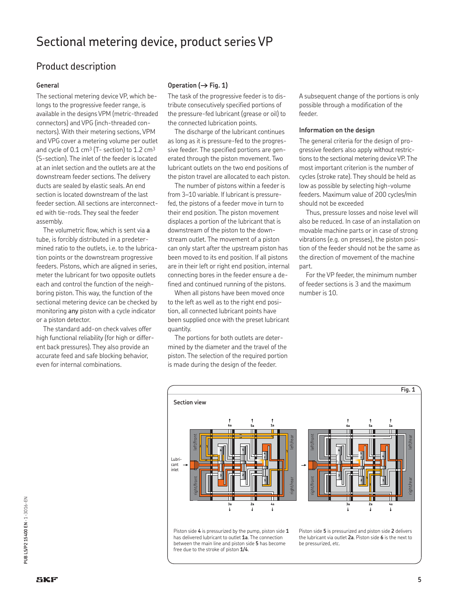## Product description

#### **General**

The sectional metering device VP, which belongs to the progressive feeder range, is available in the designs VPM (metric-threaded connectors) and VPG (inch-threaded connectors). With their metering sections, VPM and VPG cover a metering volume per outlet and cycle of  $0.1 \text{ cm}^3$  (T- section) to  $1.2 \text{ cm}^3$ (S-section). The inlet of the feeder is located at an inlet section and the outlets are at the downstream feeder sections. The delivery ducts are sealed by elastic seals. An end section is located downstream of the last feeder section. All sections are interconnected with tie-rods. They seal the feeder assembly.

The volumetric flow, which is sent via a tube, is forcibly distributed in a predetermined ratio to the outlets, i.e. to the lubrication points or the downstream progressive feeders. Pistons, which are aligned in series, meter the lubricant for two opposite outlets each and control the function of the neighboring piston. This way, the function of the sectional metering device can be checked by monitoring any piston with a cycle indicator or a piston detector.

The standard add-on check valves offer high functional reliability (for high or different back pressures). They also provide an accurate feed and safe blocking behavior, even for internal combinations.

## Operation  $(\rightarrow$  Fig. 1)

The task of the progressive feeder is to distribute consecutively specified portions of the pressure-fed lubricant (grease or oil) to the connected lubrication points.

The discharge of the lubricant continues as long as it is pressure-fed to the progressive feeder. The specified portions are generated through the piston movement. Two lubricant outlets on the two end positions of the piston travel are allocated to each piston.

The number of pistons within a feeder is from 3–10 variable. If lubricant is pressurefed, the pistons of a feeder move in turn to their end position. The piston movement displaces a portion of the lubricant that is downstream of the piston to the downstream outlet. The movement of a piston can only start after the upstream piston has been moved to its end position. If all pistons are in their left or right end position, internal connecting bores in the feeder ensure a defined and continued running of the pistons.

When all pistons have been moved once to the left as well as to the right end position, all connected lubricant points have been supplied once with the preset lubricant quantity.

The portions for both outlets are determined by the diameter and the travel of the piston. The selection of the required portion is made during the design of the feeder.

A subsequent change of the portions is only possible through a modification of the feeder.

#### **Information on the design**

The general criteria for the design of progressive feeders also apply without restrictions to the sectional metering device VP. The most important criterion is the number of cycles (stroke rate). They should be held as low as possible by selecting high-volume feeders. Maximum value of 200 cycles/min should not be exceeded

Thus, pressure losses and noise level will also be reduced. In case of an installation on movable machine parts or in case of strong vibrations (e.g. on presses), the piston position of the feeder should not be the same as the direction of movement of the machine part.

For the VP feeder, the minimum number of feeder sections is 3 and the maximum number is 10.



Piston side **4** is pressurized by the pump, piston side **1** has delivered lubricant to outlet **1a**. The connection between the main line and piston side **5** has become free due to the stroke of piston **1/4**.

Piston side **5** is pressurized and piston side **2** delivers the lubricant via outlet **2a**. Piston side **6** is the next to be pressurized, etc.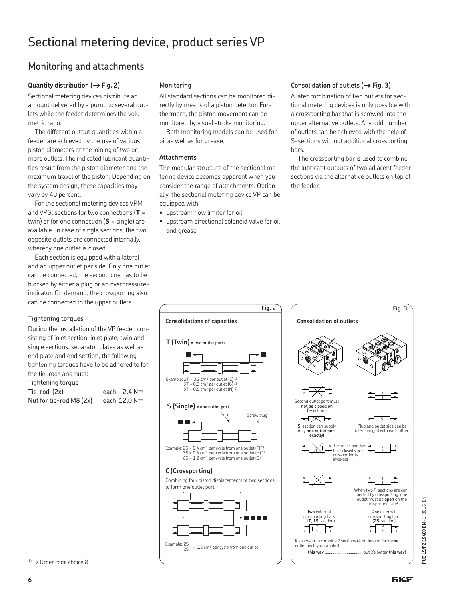## Monitoring and attachments

## Quantity distribution ( $\rightarrow$  Fig. 2)

Sectional metering devices distribute an amount delivered by a pump to several outlets while the feeder determines the volumetric ratio.

The different output quantities within a feeder are achieved by the use of various piston diameters or the joining of two or more outlets. The indicated lubricant quantities result from the piston diameter and the maximum travel of the piston. Depending on the system design, these capacities may vary by 40 percent.

For the sectional metering devices VPM and VPG, sections for two connections (**T** = twin) or for one connection (**S** = single) are available. In case of single sections, the two opposite outlets are connected internally, whereby one outlet is closed.

Each section is equipped with a lateral and an upper outlet per side. Only one outlet can be connected, the second one has to be blocked by either a plug or an overpressureindicator. On demand, the crossporting also can be connected to the upper outlets.

## **Tightening torques**

During the installation of the VP feeder, consisting of inlet section, inlet plate, twin and single sections, separator plates as well as end plate and end section, the following tightening torques have to be adhered to for the tie-rods and nuts:

## Tightening torque

| Tie-rod (2x)            | each 2,4 Nm  |
|-------------------------|--------------|
| Nut for tie-rod M8 (2x) | each 12,0 Nm |

## **Monitoring**

All standard sections can be monitored directly by means of a piston detector. Furthermore, the piston movement can be monitored by visual stroke monitoring.

Both monitoring models can be used for oil as well as for grease.

## **Attachments**

The modular structure of the sectional metering device becomes apparent when you consider the range of attachments. Optionally, the sectional metering device VP can be equipped with:

- upstream flow limiter for oil
- upstream directional solenoid valve for oil and grease

### Consolidation of outlets ( $\rightarrow$  Fig. 3)

A later combination of two outlets for sectional metering devices is only possible with a crossporting bar that is screwed into the upper alternative outlets. Any odd number of outlets can be achieved with the help of S-sections without additional crossporting bars.

The crossporting bar is used to combine the lubricant outputs of two adjacent feeder sections via the alternative outlets on top of the feeder.





る **PUB LS/P2 15400 EN** · 1-3016-EN LS/P2 15400 EN - 1-3016-PUB<sub>1</sub>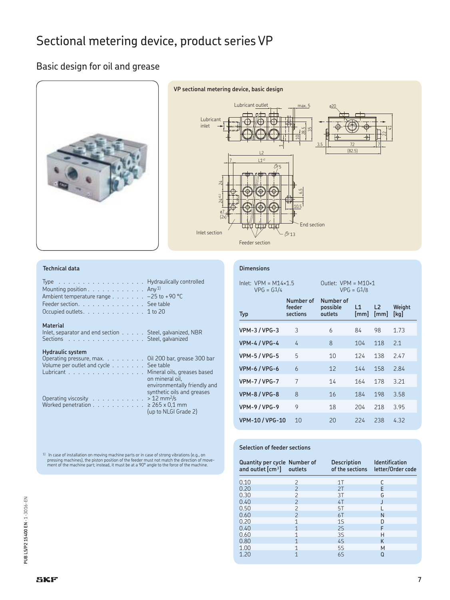## Basic design for oil and grease





### **Technical data**

| Type Hydraulically controlled<br>Mounting position $\ldots \ldots \ldots \ldots$ Any <sup>1)</sup><br>Ambient temperature range $\ldots \ldots \ldots -25$ to +90 °C<br>Feeder section. See table<br>Occupied outlets. 1 to 20 |                                                    |
|--------------------------------------------------------------------------------------------------------------------------------------------------------------------------------------------------------------------------------|----------------------------------------------------|
| <b>Material</b><br>Inlet, separator and end section $\ldots$ . Steel, galvanized, NBR<br>Sections Steel, galvanized                                                                                                            |                                                    |
| <b>Hydraulic system</b><br>Operating pressure, max. Oil 200 bar, grease 300 bar<br>Volume per outlet and cycle See table<br>Lubricant Mineral oils, greases based                                                              | on mineral oil.<br>environmentally friendly and    |
| Operating viscosity > 12 mm <sup>2</sup> /s<br>Worked penetration $\ldots$ 265 x 0,1 mm                                                                                                                                        | synthetic oils and greases<br>(up to NLGI Grade 2) |

## **Dimensions**

| $lnlet: VPM = M14 \times 1.5$<br>$VPG = G1/4$ |                                 | Outlet: $VPM = M10\times1$<br>$VPG = G1/8$ |                        |                        |                |  |  |  |  |  |  |  |
|-----------------------------------------------|---------------------------------|--------------------------------------------|------------------------|------------------------|----------------|--|--|--|--|--|--|--|
| <b>Typ</b>                                    | Number of<br>feeder<br>sections | Number of<br>possible<br>outlets           | $\mathsf{L}$ 1<br>[mm] | L <sub>2</sub><br>[mm] | Weight<br>[kq] |  |  |  |  |  |  |  |
| <b>VPM-3/VPG-3</b>                            | 3                               | 6                                          | 84                     | 98                     | 1.73           |  |  |  |  |  |  |  |
| <b>VPM-4/VPG-4</b>                            | 4                               | 8                                          | 104                    | 118                    | 2.1            |  |  |  |  |  |  |  |
| <b>VPM-5/VPG-5</b>                            | 5                               | 10                                         | 124                    | 138                    | 2.47           |  |  |  |  |  |  |  |
| <b>VPM-6/VPG-6</b>                            | $\overline{6}$                  | 12                                         | 144                    | 158                    | 2.84           |  |  |  |  |  |  |  |
| <b>VPM-7/VPG-7</b>                            | 7                               | 14                                         | 164                    | 178                    | 3.21           |  |  |  |  |  |  |  |
| <b>VPM-8/VPG-8</b>                            | 8                               | 16                                         | 184                    | 198                    | 3.58           |  |  |  |  |  |  |  |
| <b>VPM-9/VPG-9</b>                            | 9                               | 18                                         | 204                    | 218                    | 3.95           |  |  |  |  |  |  |  |
| <b>VPM-10/VPG-10</b>                          | 10                              | 20                                         | 224                    | 238                    | 4.32           |  |  |  |  |  |  |  |

 $^{11}$  In case of installation on moving machine parts or in case of strong vibrations (e.g., on<br>pressing machines), the piston position of the feeder must not match the direction of move-<br>ment of the machine part; instea

## **Selection of feeder sections**

| Quantity per cycle Number of<br>and outlet $\lceil cm^3 \rceil$ outlets |                          | <b>Description</b><br>of the sections | <b>Identification</b><br>letter/Order code |
|-------------------------------------------------------------------------|--------------------------|---------------------------------------|--------------------------------------------|
| 0.10                                                                    | 2                        | 1T                                    |                                            |
| 0.20                                                                    | $\mathcal{P}$            | 2T                                    | F                                          |
| 0.30                                                                    | $\overline{\phantom{0}}$ | 3T                                    | G                                          |
| 0.40                                                                    | $\overline{\phantom{0}}$ | 4T                                    |                                            |
| 0.50                                                                    | $\overline{\phantom{0}}$ | 5T                                    |                                            |
| 0.60                                                                    | $\overline{\phantom{0}}$ | 6T                                    | N                                          |
| 0.20                                                                    | 1                        | 1S                                    | n                                          |
| 0.40                                                                    | 1                        | 2S                                    | F                                          |
| 0.60                                                                    | 1                        | 3S                                    | Н                                          |
| 0.80                                                                    | 1                        | 45                                    | K                                          |
| 1.00                                                                    | 1                        | 5S                                    | M                                          |
| 1.20                                                                    | 1                        | 6S                                    | O                                          |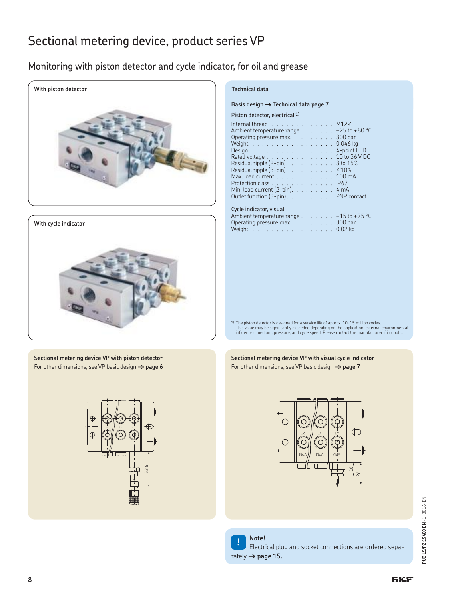## Monitoring with piston detector and cycle indicator, for oil and grease





**Sectional metering device VP with piston detector** For other dimensions, see VP basic design **† page 6**



## **Technical data**

#### Basis design  $\rightarrow$  Technical data page 7

#### Piston detector, electrical <sup>1)</sup>

| Internal thread $\ldots \ldots \ldots \ldots$ M12 $\times$ 1 |  |  |  |  |  |                                                                |
|--------------------------------------------------------------|--|--|--|--|--|----------------------------------------------------------------|
|                                                              |  |  |  |  |  | Ambient temperature range $\ldots \ldots \ldots -25$ to +80 °C |
| Operating pressure max. 300 bar                              |  |  |  |  |  |                                                                |
|                                                              |  |  |  |  |  | Weight 0.046 kg                                                |
|                                                              |  |  |  |  |  | Design 4-point LED                                             |
|                                                              |  |  |  |  |  | Rated voltage 10 to 36 V DC                                    |
|                                                              |  |  |  |  |  | Residual ripple $(2-\text{pin})$ 3 to $15\%$                   |
| Residual ripple $(3-\text{pin})$ 510%                        |  |  |  |  |  |                                                                |
| Max. load current 100 mA                                     |  |  |  |  |  |                                                                |
| Protection class IP67                                        |  |  |  |  |  |                                                                |
| Min. load current $(2-pin)$ . 4 mA                           |  |  |  |  |  |                                                                |
|                                                              |  |  |  |  |  | Outlet function (3-pin). PNP contact                           |
|                                                              |  |  |  |  |  |                                                                |

### Cycle indicator, visual

| Ambient temperature range $\ldots \ldots \ldots -15$ to +75 °C |  |  |  |
|----------------------------------------------------------------|--|--|--|
| Operating pressure max. $\ldots$ 300 bar                       |  |  |  |
| Weight 0.02 kg                                                 |  |  |  |

<sup>1)</sup> The piston detector is designed for a service life of approx. 10-15 million cycles.<br>This value may be significantly exceeded depending on the application, external environmental<br>influences, medium, pressure, and cycle

#### **Sectional metering device VP with visual cycle indicator** For other dimensions, see VP basic design **† page 7**





## **! Note!**

Electrical plug and socket connections are ordered separately  $\rightarrow$  page 15.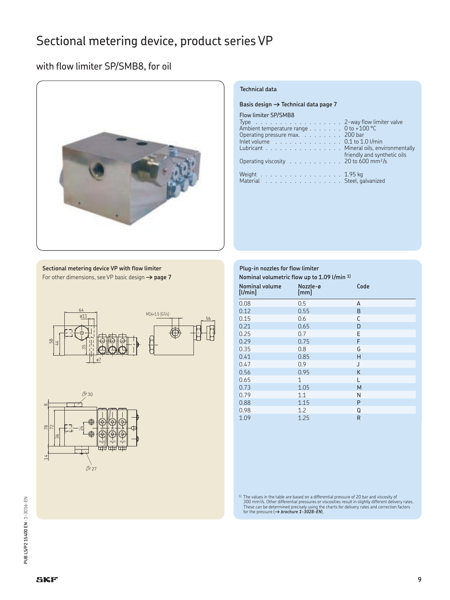## with flow limiter SP/SMB8, for oil



## **Technical data**

**Basis design → Technical data page 7** 

Flow limiter SP/SMB8

| Ambient temperature range 0 to +100 °C                                         |
|--------------------------------------------------------------------------------|
| Operating pressure max. 200 bar                                                |
| Inlet volume $\ldots \ldots \ldots \ldots \ldots \ldots$ 0.1 to 1.0 l/min      |
| Lubricant Mineral oils, environmentally                                        |
| friendly and synthetic oils                                                    |
| Operating viscosity $\ldots \ldots \ldots \ldots$ 20 to 600 mm <sup>2</sup> /s |
|                                                                                |
| Weight 1.95 kg                                                                 |
| Material Steel, galvanized                                                     |
|                                                                                |

| Sectional metering device VP with flow limiter                 |  |
|----------------------------------------------------------------|--|
| For other dimensions, see VP basic design $\rightarrow$ page 7 |  |





| Plug-in nozzles for flow limiter<br>Nominal volumetric flow up to 1.09 l/min 1) |                  |      |  |  |  |  |  |
|---------------------------------------------------------------------------------|------------------|------|--|--|--|--|--|
| <b>Nominal volume</b><br>[1/min]                                                | Nozzle-ø<br>[mm] | Code |  |  |  |  |  |
| 0.08                                                                            | 0.5              | A    |  |  |  |  |  |
| 0.12                                                                            | 0.55             | B    |  |  |  |  |  |
| 0.15                                                                            | 0.6              | C    |  |  |  |  |  |
| 0.21                                                                            | 0.65             | D    |  |  |  |  |  |
| 0.25                                                                            | 0.7              | E    |  |  |  |  |  |
| 0.29                                                                            | 0.75             | F    |  |  |  |  |  |
| 0.35                                                                            | 0.8              | G    |  |  |  |  |  |
| 0.41                                                                            | 0.85             | н    |  |  |  |  |  |
| 0.47                                                                            | 0.9              | J    |  |  |  |  |  |
| 0.56                                                                            | 0.95             | K    |  |  |  |  |  |
| 0.65                                                                            | 1                | L    |  |  |  |  |  |
| 0.73                                                                            | 1.05             | M    |  |  |  |  |  |
| 0.79                                                                            | 1.1              | N    |  |  |  |  |  |
| 0.88                                                                            | 1.15             | P    |  |  |  |  |  |
| 0.98                                                                            | 1.2              | Q    |  |  |  |  |  |
| 1.09                                                                            | 1.25             | R    |  |  |  |  |  |

<sup>1)</sup> The values in the table are based on a differential pressure of 20 bar and viscosity of 300 mm<sup>2</sup>/s. Other differential pressures or viscosities result in slightly different delivery rates.<br>These can be determined pr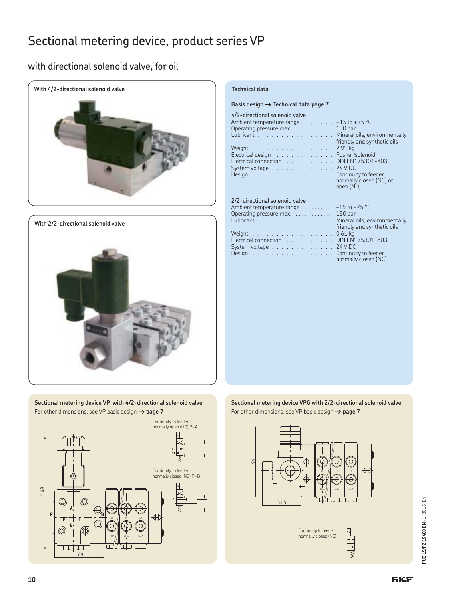## with directional solenoid valve, for oil



## **With 2/2-directional solenoid valve**



**Sectional metering device VP with 4/2-directional solenoid valve** For other dimensions, see VP basic design **† page 7**



#### Basis design  $\rightarrow$  Technical data page 7

#### 4/2-directional solenoid valve

| Ambient temperature range $\ldots \ldots \ldots -15$ to +75 °C |  |  |  |                                          |
|----------------------------------------------------------------|--|--|--|------------------------------------------|
| Operating pressure max. 150 bar                                |  |  |  |                                          |
| Lubricant Mineral oils, environr                               |  |  |  |                                          |
|                                                                |  |  |  | <b>Example 12 Friendly and synthetic</b> |
| Weight 2.91 kg                                                 |  |  |  |                                          |
| Electrical design Pusher/solenoid                              |  |  |  |                                          |
| Electrical connection DIN EN175301-803                         |  |  |  |                                          |
| System voltage $\ldots \ldots \ldots \ldots \ldots$ 24 V DC    |  |  |  |                                          |
|                                                                |  |  |  |                                          |
|                                                                |  |  |  |                                          |

## 2/2-directional solenoid valve

| Ambient temperature range $\dots \dots -15$ to +75 °C                 |                             |
|-----------------------------------------------------------------------|-----------------------------|
| Operating pressure max. $\ldots$ 150 bar                              |                             |
| Lubricant Mineral oils, environmentally                               |                             |
|                                                                       | friendly and synthetic oils |
| Weight $\ldots$ , $\ldots$ , $\ldots$ , $\ldots$ , $\ldots$ , 0,61 kg |                             |
| Electrical connection DIN EN175301-803                                |                             |
| System voltage $\ldots \ldots \ldots \ldots$ 24 V DC                  |                             |
| Design Continuity to feeder                                           |                             |
|                                                                       | normally closed (NC)        |

## $-15$  to +75 °C  $150$  bar friendly and synthetic oils  $0.61$  kg Electrical connection . . . . . . . . . . DIN EN175301-803 System voltage . . . . . . . . . . . . . 24 V DC normally closed (NC)

Mineral oils, environmentally friendly and synthetic oils

normally closed (NC) or

open (NO)

**Sectional metering device VPG with 2/2-directional solenoid valve** For other dimensions, see VP basic design **† page 7**



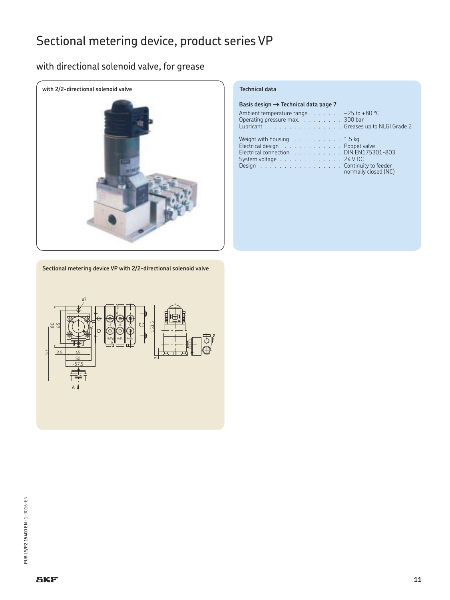## with directional solenoid valve, for grease



| Basis design $\rightarrow$ Technical data page 7                                                                                                                                              |                      |
|-----------------------------------------------------------------------------------------------------------------------------------------------------------------------------------------------|----------------------|
| Ambient temperature range $\ldots \ldots \ldots -25$ to +80 °C<br>Operating pressure max. 300 bar<br>Lubricant Greases up to NLGI Grade 2                                                     |                      |
| Weight with housing $\ldots \ldots \ldots \ldots 1.5$ kg<br>Electrical design Poppet valve<br>Electrical connection DIN EN175301-803<br>System voltage 24 V DC<br>Design Continuity to feeder | normally closed (NC) |

**Sectional metering device VP with 2/2-directional solenoid valve**

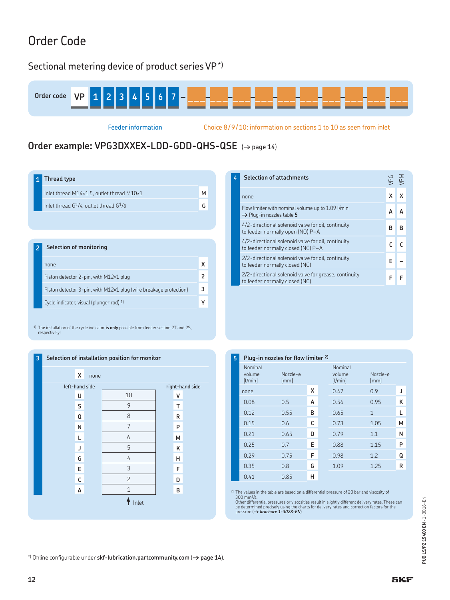# Order Code

## Sectional metering device of product series VP\*)



Feeder information Choice 8/9/10: information on sections 1 to 10 as seen from inlet

## Order example: VPG3DXXEX-LDD-GDD-QHS-QSE ( $\rightarrow$  page 14)

|  | 1 Thread type |  |
|--|---------------|--|
|--|---------------|--|

| $1111$ cuu $311$                           |  |
|--------------------------------------------|--|
| Inlet thread M14×1.5, outlet thread M10×1  |  |
| Inlet thread $G1/4$ , outlet thread $G1/8$ |  |
|                                            |  |

## **2 Selection of monitoring**

| none                                                                          |   |
|-------------------------------------------------------------------------------|---|
| Piston detector 2-pin, with M12×1 plug                                        |   |
| Piston detector $3$ -pin, with M12 $\times$ 1 plug (wire breakage protection) | ٩ |
| Cycle indicator, visual (plunger rod) 1)                                      |   |

1) The installation of the cycle indicator **is only** possible from feeder section 2T and 2S, respectively!



| 4 | <b>Selection of attachments</b>                                                            |   | /PM |  |
|---|--------------------------------------------------------------------------------------------|---|-----|--|
|   | none                                                                                       |   |     |  |
|   | Flow limiter with nominal volume up to 1.09 l/min<br>$\rightarrow$ Plug-in nozzles table 5 |   |     |  |
|   | 4/2-directional solenoid valve for oil, continuity<br>to feeder normally open (NO) P-A     | R | R   |  |
|   | 4/2-directional solenoid valve for oil, continuity<br>to feeder normally closed (NC) P-A   |   |     |  |
|   | 2/2-directional solenoid valve for oil, continuity<br>to feeder normally closed (NC)       | F |     |  |
|   | 2/2-directional solenoid valve for grease, continuity<br>to feeder normally closed (NC)    |   |     |  |

### **5 Plug-in nozzles for flow limiter 2)**

| Nominal<br>volume<br>[1/min] | Nozzle-ø<br>[mm] |   | Nominal<br>volume<br>[1/min] | Nozzle-ø<br>[mm] |   |
|------------------------------|------------------|---|------------------------------|------------------|---|
| none                         |                  | х | 0.47                         | 0.9              | J |
| 0.08                         | 0.5              | A | 0.56                         | 0.95             | Κ |
| 0.12                         | 0.55             | В | 0.65                         | 1                | L |
| 0.15                         | 0.6              | C | 0.73                         | 1.05             | м |
| 0.21                         | 0.65             | D | 0.79                         | 1.1              | Ν |
| 0.25                         | 0.7              | E | 0.88                         | 1.15             | P |
| 0.29                         | 0.75             | F | 0.98                         | 1.2              | Q |
| 0.35                         | 0.8              | G | 1.09                         | 1.25             | R |
| 0.41                         | 0.85             | н |                              |                  |   |

<sup>2)</sup> The values in the table are based on a differential pressure of 20 bar and viscosity of 300 mm<sup>2</sup>/s.<br>300 mm<sup>2</sup>/s.<br>Other differential pressures or viscosities result in slightly different delivery rates. These can<br>be

\*) Online configurable under **skf-lubrication.partcommunity.com** (**† page 14**).

**12**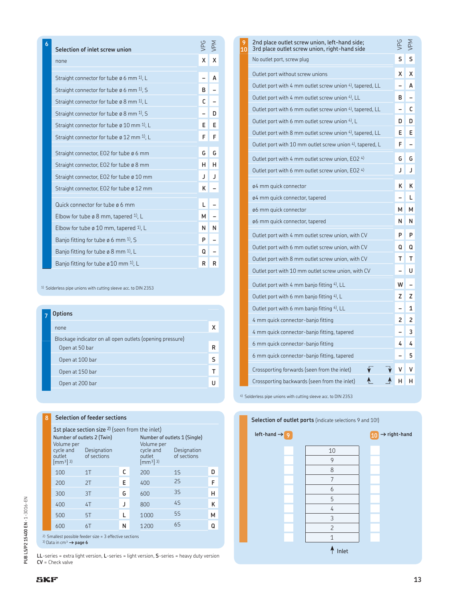| 6 | Selection of inlet screw union                                    | VPG | VPM |
|---|-------------------------------------------------------------------|-----|-----|
|   | none                                                              | X   | x   |
|   |                                                                   |     |     |
|   | Straight connector for tube $\varnothing$ 6 mm <sup>1</sup> , L   |     | A   |
|   | Straight connector for tube $\emptyset$ 6 mm $1$ , S              | в   |     |
|   | Straight connector for tube $\varnothing$ 8 mm <sup>1</sup> , L   | C   |     |
|   | Straight connector for tube $\varnothing$ 8 mm $^{1}$ , S         |     | D   |
|   | Straight connector for tube $\varnothing$ 10 mm <sup>1)</sup> , L | Е   | Е   |
|   | Straight connector for tube $\varnothing$ 12 mm <sup>1)</sup> , L | F   | F   |
|   | Straight connector, EO2 for tube ø 6 mm                           | G   | G   |
|   | Straight connector, EO2 for tube ø 8 mm                           | н   | н   |
|   | Straight connector, EO2 for tube ø 10 mm                          | J   | J   |
|   | Straight connector, EO2 for tube ø 12 mm                          | Κ   |     |
|   | Quick connector for tube ø 6 mm                                   | L   |     |
|   | Elbow for tube $\varnothing$ 8 mm, tapered <sup>1)</sup> , L      | м   |     |
|   | Elbow for tube $\varnothing$ 10 mm, tapered <sup>1</sup> , L      | Ν   | N   |
|   | Banjo fitting for tube ø 6 mm <sup>1)</sup> , S                   | P   |     |
|   | Banjo fitting for tube $\varphi$ 8 mm <sup>1</sup> , L            | Q   |     |
|   | Banjo fitting for tube $\varnothing$ 10 mm <sup>1)</sup> , L      | R   | R   |

<sup>1)</sup> Solderless pipe unions with cutting sleeve acc. to DIN 2353

| <b>Options</b>                                            |   |
|-----------------------------------------------------------|---|
| none                                                      |   |
| Blockage indicator on all open outlets (opening pressure) |   |
| Open at 50 bar                                            | R |
| Open at 100 bar                                           | ς |
| Open at 150 bar                                           |   |
| Open at 200 bar                                           |   |
|                                                           |   |

## **8 Selection of feeder sections**

| 1st place section size <sup>2)</sup> (seen from the inlet)                                                              |                            |   |  |                                                       |                              |   |
|-------------------------------------------------------------------------------------------------------------------------|----------------------------|---|--|-------------------------------------------------------|------------------------------|---|
|                                                                                                                         | Number of outlets 2 (Twin) |   |  |                                                       | Number of outlets 1 (Single) |   |
| Volume per<br>cycle and<br>outlet<br>$[mm3]$ <sup>3)</sup>                                                              | Designation<br>of sections |   |  | Volume per<br>cycle and<br>outlet<br>$\rm{[mm^3]}$ 3) | Designation<br>of sections   |   |
| 100                                                                                                                     | 1T                         | C |  | 200                                                   | 15                           | n |
| 200                                                                                                                     | 2T                         | Е |  | 400                                                   | 25                           | F |
| 300                                                                                                                     | 3T                         | G |  | 600                                                   | <b>35</b>                    | н |
| 400                                                                                                                     | 4T                         | J |  | 800                                                   | 4S                           | κ |
| 500                                                                                                                     | 5T                         | L |  | 1000                                                  | 5S                           | м |
| 600                                                                                                                     | 6T                         | Ν |  | 1200                                                  | 6S                           | Q |
| $2)$ Smallest possible feeder size = 3 effective sections<br><sup>3)</sup> Data in cm <sup>3</sup> $\rightarrow$ page 6 |                            |   |  |                                                       |                              |   |

**LL**-series = extra light version, **L**-series = light version, **S**-series = heavy duty version **CV** = Check valve

| 2nd place outlet screw union, left-hand side;<br>3rd place outlet screw union, right-hand side | <b>PG</b> | ∖∮ |
|------------------------------------------------------------------------------------------------|-----------|----|
| No outlet port, screw plug                                                                     | S         | S  |
| Outlet port without screw unions                                                               | x         | х  |
| Outlet port with 4 mm outlet screw union 4), tapered, LL                                       |           | А  |
| Outlet port with 4 mm outlet screw union 4), LL                                                | в         |    |
| Outlet port with 6 mm outlet screw union 4), tapered, LL                                       |           | С  |
| Outlet port with 6 mm outlet screw union 4), L                                                 | D         | D  |
| Outlet port with 8 mm outlet screw union 4), tapered, LL                                       | Е         | E  |
| Outlet port with 10 mm outlet screw union 4), tapered, L                                       | F         |    |
| Outlet port with 4 mm outlet screw union, EO2 4)                                               | G         | G  |
| Outlet port with 6 mm outlet screw union, EO2 4)                                               | J         | J  |
| ø4 mm quick connector                                                                          | κ         | κ  |
| ø4 mm quick connector, tapered                                                                 |           | L  |
| ø6 mm quick connector                                                                          | м         | м  |
| ø6 mm quick connector, tapered                                                                 | N         | N  |
| Outlet port with 4 mm outlet screw union, with CV                                              | P         | P  |
| Outlet port with 6 mm outlet screw union, with CV                                              | Q         | Q  |
| Outlet port with 8 mm outlet screw union, with CV                                              | т         | т  |
| Outlet port with 10 mm outlet screw union, with CV                                             |           | U  |
| Outlet port with 4 mm banjo fitting 4), LL                                                     | w         |    |
| Outlet port with 6 mm banjo fitting 4), L                                                      | z         | z  |
| Outlet port with 6 mm banjo fitting 4), LL                                                     |           | 1  |
| 4 mm quick connector-banjo fitting                                                             | 2         | 2  |
| 4 mm guick connector-banjo fitting, tapered                                                    |           | 3  |
| 6 mm quick connector-banjo fitting                                                             | 4         | 4  |
| 6 mm quick connector-banjo fitting, tapered                                                    |           | 5  |
| Crossporting forwards (seen from the inlet)                                                    | ٧         | v  |
| Crossporting backwards (seen from the inlet)                                                   | н         | н  |

**9 10**

4) Solderless pipe unions with cutting sleeve acc. to DIN 2353



PUB LS/P2 15400 EN - 1-3016-EN **PUB LS/P2 15400 EN** · 1-3016-EN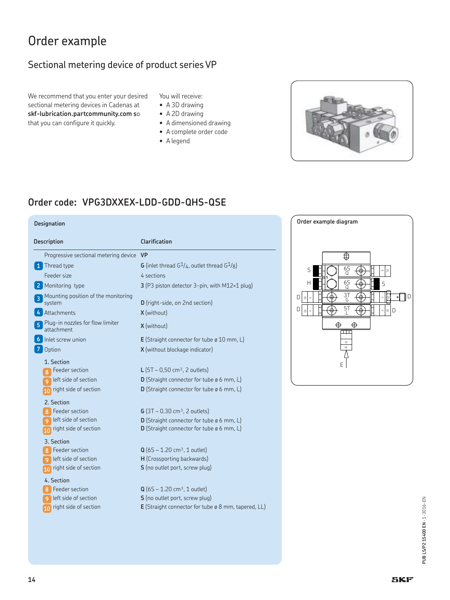# Order example

## Sectional metering device of product series VP

We recommend that you enter your desired sectional metering devices in Cadenas at **skf-lubrication.partcommunity.com s**o that you can configure it quickly.

### You will receive:

- A 3D drawing
- A 2D drawing
- A dimensioned drawing
- A complete order code
- A legend



## **Order code: VPG3DXXEX-LDD-GDD-QHS-QSE**

| <b>Description</b>                                                                                                                                               | Clarification                                                                                                                                                                                                                                                                                |
|------------------------------------------------------------------------------------------------------------------------------------------------------------------|----------------------------------------------------------------------------------------------------------------------------------------------------------------------------------------------------------------------------------------------------------------------------------------------|
| Progressive sectional metering device                                                                                                                            | <b>VP</b>                                                                                                                                                                                                                                                                                    |
| Thread type                                                                                                                                                      | <b>G</b> (inlet thread $G^1/4$ , outlet thread $G^1/8$ )                                                                                                                                                                                                                                     |
| Feeder size                                                                                                                                                      | 4 sections                                                                                                                                                                                                                                                                                   |
| Monitoring type                                                                                                                                                  | 3 (P3 piston detector 3-pin, with M12×1 plug)                                                                                                                                                                                                                                                |
| Mounting position of the monitoring<br>3<br>system                                                                                                               | D (right-side, on 2nd section)                                                                                                                                                                                                                                                               |
| Attachments                                                                                                                                                      | X (without)                                                                                                                                                                                                                                                                                  |
| Plug-in nozzles for flow limiter<br>attachment                                                                                                                   | X (without)                                                                                                                                                                                                                                                                                  |
| Inlet screw union                                                                                                                                                | <b>E</b> (Straight connector for tube $\varphi$ 10 mm, L)                                                                                                                                                                                                                                    |
| Option                                                                                                                                                           | <b>X</b> (without blockage indicator)                                                                                                                                                                                                                                                        |
| 1. Section<br>Feeder section<br>8<br>left side of section<br>9<br>right side of section<br>2. Section<br><b>Feeder section</b><br>8<br>left side of section<br>9 | <b>L</b> (5T – 0,50 cm <sup>3</sup> , 2 outlets)<br><b>D</b> (Straight connector for tube $\emptyset$ 6 mm, L)<br><b>D</b> (Straight connector for tube $\emptyset$ 6 mm, L)<br>$G(3T - 0.30 \text{ cm}^3, 2 \text{ outlets})$<br><b>D</b> (Straight connector for tube $\emptyset$ 6 mm, L) |
| right side of section<br>10                                                                                                                                      | <b>D</b> (Straight connector for tube $\emptyset$ 6 mm, L)                                                                                                                                                                                                                                   |
| 3. Section<br>Feeder section<br>8<br>left side of section<br>9<br>right side of section<br>10                                                                    | $Q (6S - 1.20 cm3, 1 outlet)$<br>H (Crossporting backwards)<br><b>S</b> (no outlet port, screw plug)                                                                                                                                                                                         |
| 4. Section<br>Feeder section<br>8<br>left side of section<br>9.<br>right side of section<br>10                                                                   | $Q(65 - 1.20 \text{ cm}^3, 1 \text{ outlet})$<br><b>S</b> (no outlet port, screw plug)<br>E (Straight connector for tube ø 8 mm, tapered, LL)                                                                                                                                                |

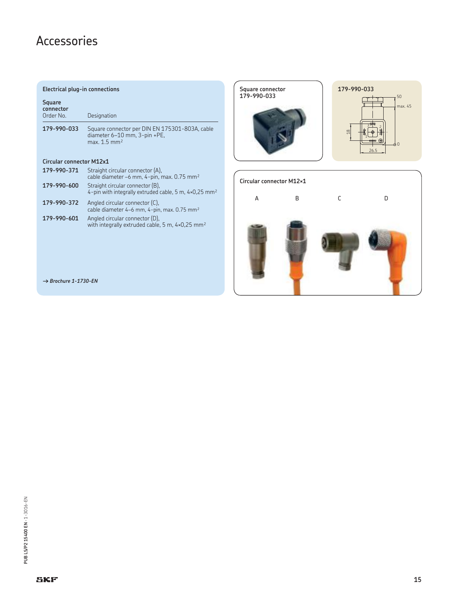# Accessories

### **Electrical plug-in connections**

| Square<br>connector<br>Order No. | Designation                                                                                                  |
|----------------------------------|--------------------------------------------------------------------------------------------------------------|
| 179-990-033                      | Square connector per DIN EN 175301-803A, cable<br>diameter 6-10 mm, 3-pin +PE,<br>max. 1.5 mm <sup>2</sup>   |
| <b>Circular connector M12x1</b>  |                                                                                                              |
| 179-990-371                      | Straight circular connector (A),<br>cable diameter -6 mm, 4-pin, max. 0.75 mm <sup>2</sup>                   |
| 179-990-600                      | Straight circular connector (B),<br>4-pin with integrally extruded cable, 5 m, $4\times0.25$ mm <sup>2</sup> |
| 179-990-372                      | Angled circular connector (C),<br>cable diameter 4–6 mm, 4-pin, max. 0.75 mm <sup>2</sup>                    |

with integrally extruded cable, 5 m, 4×0,25  $\textsf{mm}^{\textsf{2}}$ 

**179-990-601** Angled circular connector (D),





*† Brochure 1-1730-EN*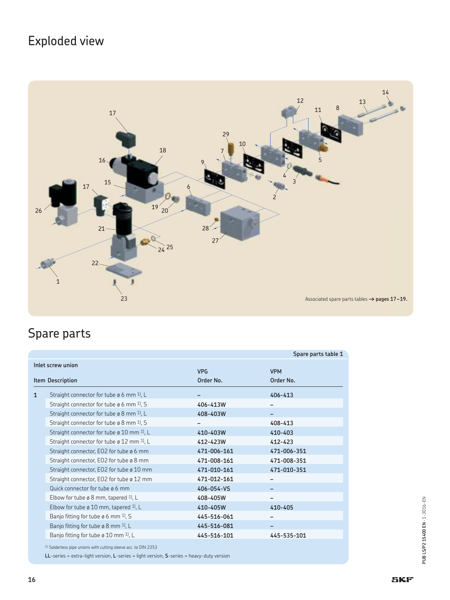# Exploded view



# Spare parts

|                                       |                                                                  |                         | Spare parts table 1     |
|---------------------------------------|------------------------------------------------------------------|-------------------------|-------------------------|
| Inlet screw union<br>Item Description |                                                                  | <b>VPG</b><br>Order No. | <b>VPM</b><br>Order No. |
| $\mathbf{1}$                          | Straight connector for tube $\varnothing$ 6 mm <sup>1</sup> , L  |                         | $406 - 413$             |
|                                       | Straight connector for tube $\varnothing$ 6 mm $^{1}$ , S        | 406-413W                |                         |
|                                       | Straight connector for tube $\varnothing$ 8 mm <sup>1</sup> , L  | 408-403W                |                         |
|                                       | Straight connector for tube $\varphi$ 8 mm <sup>1</sup> , S      |                         | 408-413                 |
|                                       | Straight connector for tube $\varnothing$ 10 mm <sup>1</sup> , L | 410-403W                | 410-403                 |
|                                       | Straight connector for tube $\varphi$ 12 mm <sup>1</sup> , L     | 412-423W                | 412-423                 |
|                                       | Straight connector, EO2 for tube ø 6 mm                          | 471-006-161             | 471-006-351             |
|                                       | Straight connector, EO2 for tube ø 8 mm                          | 471-008-161             | 471-008-351             |
|                                       | Straight connector, EO2 for tube ø 10 mm                         | 471-010-161             | 471-010-351             |
|                                       | Straight connector, EO2 for tube ø 12 mm                         | 471-012-161             |                         |
|                                       | Quick connector for tube ø 6 mm                                  | 406-054-VS              |                         |
|                                       | Elbow for tube ø 8 mm, tapered $1$ , L                           | 408-405W                |                         |
|                                       | Elbow for tube $\varnothing$ 10 mm, tapered <sup>1</sup> , L     | 410-405W                | 410-405                 |
|                                       | Banjo fitting for tube $\varnothing$ 6 mm <sup>1</sup> ), S      | 445-516-061             |                         |
|                                       | Banjo fitting for tube $\varnothing$ 8 mm <sup>1</sup> , L       | 445-516-081             |                         |
|                                       | Banjo fitting for tube ø 10 mm $1$ , L                           | 445-516-101             | 445-535-101             |
|                                       |                                                                  |                         |                         |

<sup>1)</sup> Solderless pipe unions with cutting sleeve acc. to DIN 2353

**LL**-series = extra-light version, **L**-series = light version, **S**-series = heavy-duty version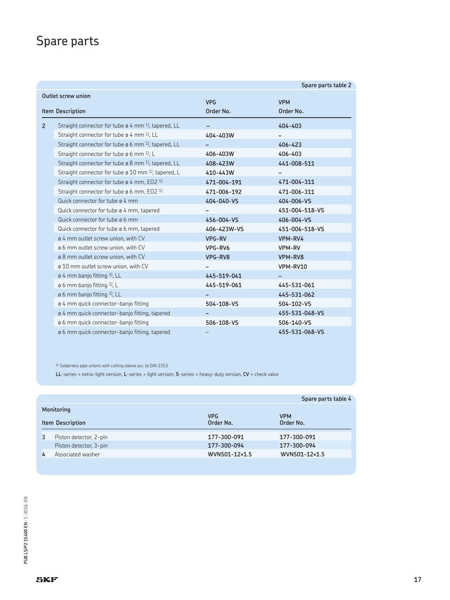# Spare parts

|                           |                                                                       |             | Spare parts table 2 |
|---------------------------|-----------------------------------------------------------------------|-------------|---------------------|
| <b>Outlet screw union</b> |                                                                       |             |                     |
|                           |                                                                       | <b>VPG</b>  | <b>VPM</b>          |
|                           | <b>Item Description</b>                                               | Order No.   | Order No.           |
| $\overline{2}$            | Straight connector for tube $\varphi$ 4 mm <sup>1</sup> , tapered, LL |             | 404-403             |
|                           | Straight connector for tube ø 4 mm 1), LL                             | 404-403W    |                     |
|                           | Straight connector for tube ø 6 mm <sup>1</sup> , tapered, LL         |             | 406-423             |
|                           | Straight connector for tube $\varphi$ 6 mm <sup>1</sup> , L           | 406-403W    | 406-403             |
|                           | Straight connector for tube $\varphi$ 8 mm <sup>1</sup> , tapered, LL | 408-423W    | 441-008-511         |
|                           | Straight connector for tube $\varphi$ 10 mm <sup>1</sup> , tapered, L | 410-443W    |                     |
|                           | Straight connector for tube ø 4 mm, EO2 1)                            | 471-004-191 | 471-004-311         |
|                           | Straight connector for tube $\varphi$ 6 mm, EO2 <sup>1)</sup>         | 471-006-192 | 471-006-311         |
|                           | Quick connector for tube ø 4 mm                                       | 404-040-VS  | 404-006-VS          |
|                           | Quick connector for tube $\varphi$ 4 mm, tapered                      |             | 451-004-518-VS      |
|                           | Quick connector for tube ø 6 mm                                       | 456-004-VS  | 406-004-VS          |
|                           | Quick connector for tube ø 6 mm, tapered                              | 406-423W-VS | 451-006-518-VS      |
|                           | ø 4 mm outlet screw union, with CV                                    | VPG-RV      | VPM-RV4             |
|                           | ø 6 mm outlet screw union, with CV                                    | VPG-RV6     | VPM-RV              |
|                           | ø 8 mm outlet screw union, with CV                                    | VPG-RV8     | VPM-RV8             |
|                           | ø 10 mm outlet screw union, with CV                                   |             | VPM-RV10            |
|                           | $\varphi$ 4 mm banjo fitting 3), LL                                   | 445-519-041 |                     |
|                           | $\varphi$ 6 mm banjo fitting 3), L                                    | 445-519-061 | 445-531-061         |
|                           | ø 6 mm banjo fitting 3), LL                                           |             | 445-531-062         |
|                           | ø 4 mm quick connector-banjo fitting                                  | 504-108-VS  | 504-102-VS          |
|                           | ø 4 mm quick connector-banjo fitting, tapered                         |             | 455-531-048-VS      |
|                           | ø 6 mm quick connector-banjo fitting                                  | 506-108-VS  | 506-140-VS          |
|                           | ø 6 mm guick connector-banjo fitting, tapered                         |             | 455-531-068-VS      |

<sup>1)</sup> Solderless pipe unions with cutting sleeve acc. to DIN 2353

**LL**-series = extra-light version, **L**-series = light version, **S**-series = heavy-duty version, **CV** = check valve

|                  |                        |               | Spare parts table 4 |
|------------------|------------------------|---------------|---------------------|
| Monitoring       |                        | <b>VPG</b>    | <b>VPM</b>          |
| Item Description |                        | Order No.     | Order No.           |
| 3                | Piston detector, 2-pin | 177-300-091   | 177-300-091         |
|                  | Piston detector, 3-pin | 177-300-094   | 177-300-094         |
| 4                | Associated washer      | WVN501-12×1.5 | WVN501-12×1.5       |
|                  |                        |               |                     |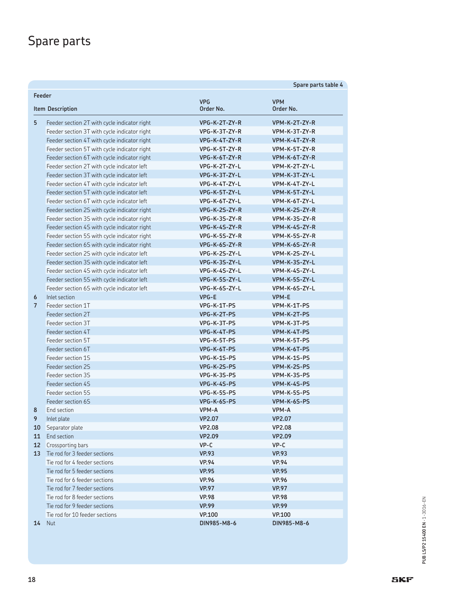# Spare parts

|                                             |                                              |               | Spare parts table 4     |
|---------------------------------------------|----------------------------------------------|---------------|-------------------------|
| Feeder                                      |                                              |               |                         |
| <b>VPG</b><br>Order No.<br>Item Description |                                              |               | <b>VPM</b><br>Order No. |
| 5                                           | Feeder section 2T with cycle indicator right | VPG-K-2T-ZY-R | VPM-K-2T-ZY-R           |
|                                             | Feeder section 3T with cycle indicator right | VPG-K-3T-ZY-R | VPM-K-3T-ZY-R           |
|                                             | Feeder section 4T with cycle indicator right | VPG-K-4T-ZY-R | VPM-K-4T-ZY-R           |
|                                             | Feeder section 5T with cycle indicator right | VPG-K-5T-ZY-R | VPM-K-5T-ZY-R           |
|                                             | Feeder section 6T with cycle indicator right | VPG-K-6T-ZY-R | VPM-K-6T-ZY-R           |
|                                             | Feeder section 2T with cycle indicator left  | VPG-K-2T-ZY-L | VPM-K-2T-ZY-L           |
|                                             | Feeder section 3T with cycle indicator left  | VPG-K-3T-ZY-L | VPM-K-3T-ZY-L           |
|                                             | Feeder section 4T with cycle indicator left  | VPG-K-4T-ZY-L | VPM-K-4T-ZY-L           |
|                                             | Feeder section 5T with cycle indicator left  | VPG-K-5T-ZY-L | VPM-K-5T-ZY-L           |
|                                             | Feeder section 6T with cycle indicator left  | VPG-K-6T-ZY-L | VPM-K-6T-ZY-L           |
|                                             | Feeder section 2S with cycle indicator right | VPG-K-2S-ZY-R | VPM-K-2S-ZY-R           |
|                                             | Feeder section 3S with cycle indicator right | VPG-K-3S-ZY-R | VPM-K-3S-ZY-R           |
|                                             | Feeder section 4S with cycle indicator right | VPG-K-4S-ZY-R | VPM-K-4S-ZY-R           |
|                                             | Feeder section 5S with cycle indicator right | VPG-K-5S-ZY-R | VPM-K-5S-ZY-R           |
|                                             | Feeder section 6S with cycle indicator right | VPG-K-6S-ZY-R | VPM-K-6S-ZY-R           |
|                                             | Feeder section 2S with cycle indicator left  | VPG-K-2S-ZY-L | VPM-K-2S-ZY-L           |
|                                             | Feeder section 3S with cycle indicator left  | VPG-K-3S-ZY-L | VPM-K-3S-ZY-L           |
|                                             | Feeder section 4S with cycle indicator left  | VPG-K-4S-ZY-L | VPM-K-4S-ZY-L           |
|                                             | Feeder section 5S with cycle indicator left  | VPG-K-5S-ZY-L | VPM-K-5S-ZY-L           |
|                                             | Feeder section 6S with cycle indicator left  | VPG-K-6S-ZY-L | VPM-K-6S-ZY-L           |
| 6                                           | Inlet section                                | VPG-E         | <b>VPM-E</b>            |
| $\overline{7}$                              | Feeder section 1T                            | VPG-K-1T-PS   | VPM-K-1T-PS             |
|                                             | Feeder section 2T                            | VPG-K-2T-PS   | VPM-K-2T-PS             |
|                                             | Feeder section 3T                            | VPG-K-3T-PS   | VPM-K-3T-PS             |
|                                             | Feeder section 4T                            | VPG-K-4T-PS   | VPM-K-4T-PS             |
|                                             | Feeder section 5T                            | VPG-K-5T-PS   | VPM-K-5T-PS             |
|                                             | Feeder section 6T                            | VPG-K-6T-PS   | VPM-K-6T-PS             |
|                                             | Feeder section 1S                            | VPG-K-1S-PS   | VPM-K-1S-PS             |
|                                             | Feeder section 2S                            | VPG-K-2S-PS   | VPM-K-2S-PS             |
|                                             | Feeder section 3S                            | VPG-K-3S-PS   | VPM-K-3S-PS             |
|                                             | Feeder section 4S                            | VPG-K-4S-PS   | VPM-K-4S-PS             |
|                                             | Feeder section 5S                            | VPG-K-5S-PS   | VPM-K-5S-PS             |
|                                             | Feeder section 6S                            | VPG-K-6S-PS   | VPM-K-6S-PS             |
| 8                                           | End section                                  | VPM-A         | VPM-A                   |
| 9                                           | Inlet plate                                  | VP2.07        | <b>VP2.07</b>           |
| 10                                          | Separator plate                              | <b>VP2.08</b> | <b>VP2.08</b>           |
| 11                                          | End section                                  | VP2.09        | VP2.09                  |
| 12 <sup>2</sup>                             | Crossporting bars                            | $VP-C$        | $VP-C$                  |
| 13                                          | Tie rod for 3 feeder sections                | <b>VP.93</b>  | <b>VP.93</b>            |
|                                             | Tie rod for 4 feeder sections                | <b>VP.94</b>  | <b>VP.94</b>            |
|                                             | Tie rod for 5 feeder sections                | <b>VP.95</b>  | <b>VP.95</b>            |
|                                             | Tie rod for 6 feeder sections                | <b>VP.96</b>  | <b>VP.96</b>            |
|                                             | Tie rod for 7 feeder sections                | <b>VP.97</b>  | <b>VP.97</b>            |
|                                             | Tie rod for 8 feeder sections                | <b>VP.98</b>  | <b>VP.98</b>            |
|                                             | Tie rod for 9 feeder sections                | <b>VP.99</b>  | <b>VP.99</b>            |
|                                             | Tie rod for 10 feeder sections               | <b>VP.100</b> | <b>VP.100</b>           |
| 14                                          | <b>Nut</b>                                   | DIN985-M8-6   | DIN985-M8-6             |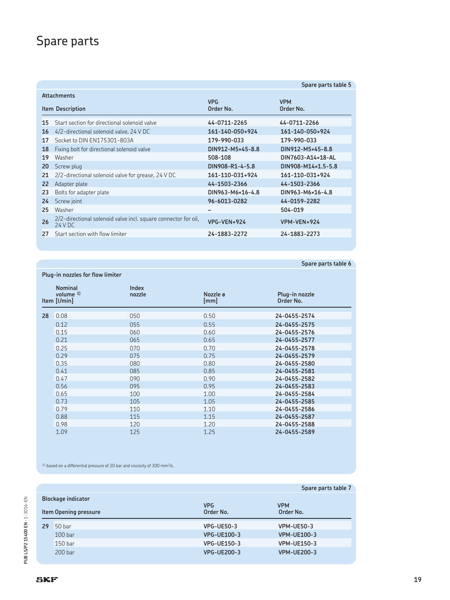# Spare parts

|                    |                                                                            |                         | Spare parts table 5     |
|--------------------|----------------------------------------------------------------------------|-------------------------|-------------------------|
| <b>Attachments</b> |                                                                            |                         |                         |
|                    | <b>Item Description</b>                                                    | <b>VPG</b><br>Order No. | <b>VPM</b><br>Order No. |
| 15                 | Start section for directional solenoid valve                               | 44-0711-2265            | 44-0711-2266            |
| 16                 | 4/2-directional solenoid valve, 24 V DC                                    | 161-140-050+924         | 161-140-050+924         |
| 17                 | Socket to DIN EN175301-803A                                                | 179-990-033             | 179-990-033             |
| 18                 | Fixing bolt for directional solenoid valve                                 | DIN912-M5×45-8.8        | DIN912-M5×45-8.8        |
| 19                 | Washer                                                                     | 508-108                 | DIN7603-A14×18-AL       |
| 20                 | Screw plug                                                                 | DIN908-R1-4-5.8         | DIN908-M14×1.5-5.8      |
| 21                 | 2/2-directional solenoid valve for grease, 24 V DC                         | 161-110-031+924         | 161-110-031+924         |
| 22                 | Adapter plate                                                              | 44-1503-2366            | 44-1503-2366            |
| 23                 | Bolts for adapter plate                                                    | DIN963-M6×16-4.8        | DIN963-M6×16-4.8        |
| 24                 | Screw joint                                                                | 96-6013-0282            | 44-0159-2282            |
| 25                 | Washer                                                                     |                         | 504-019                 |
| 26                 | 2/2-directional solenoid valve incl. square connector for oil,<br>24 V D C | VPG-VEN+924             | VPM-VEN+924             |
| 27                 | Start section with flow limiter                                            | 24-1883-2272            | 24-1883-2273            |
|                    |                                                                            |                         |                         |

### **Spare parts table 6**

| Plug-in nozzles for flow limiter |                                                |                 |                  |                             |
|----------------------------------|------------------------------------------------|-----------------|------------------|-----------------------------|
|                                  | <b>Nominal</b><br>volume $1$ )<br>Item [I/min] | Index<br>nozzle | Nozzle ø<br>[mm] | Plug-in nozzle<br>Order No. |
| 28                               | 0.08                                           | 050             | 0.50             | 24-0455-2574                |
|                                  | 0.12                                           | 055             | 0.55             | 24-0455-2575                |
|                                  | 0.15                                           | 060             | 0.60             | 24-0455-2576                |
|                                  | 0.21                                           | 065             | 0.65             | 24-0455-2577                |
|                                  | 0.25                                           | 070             | 0.70             | 24-0455-2578                |
|                                  | 0.29                                           | 075             | 0.75             | 24-0455-2579                |
|                                  | 0.35                                           | 080             | 0.80             | 24-0455-2580                |
|                                  | 0.41                                           | 085             | 0.85             | 24-0455-2581                |
|                                  | 0.47                                           | 090             | 0.90             | 24-0455-2582                |
|                                  | 0.56                                           | 095             | 0.95             | 24-0455-2583                |
|                                  | 0.65                                           | 100             | 1.00             | 24-0455-2584                |
|                                  | 0.73                                           | 105             | 1.05             | 24-0455-2585                |
|                                  | 0.79                                           | 110             | 1.10             | 24-0455-2586                |
|                                  | 0.88                                           | 115             | 1.15             | 24-0455-2587                |
|                                  | 0.98                                           | 120             | 1.20             | 24-0455-2588                |
|                                  | 1.09                                           | 125             | 1.25             | 24-0455-2589                |

 $^{\rm 1)}$  based on a differential pressure of 20 bar and viscosity of 300 mm<sup>2</sup>/s.

|                       |                           |                         | Spare parts table 7     |
|-----------------------|---------------------------|-------------------------|-------------------------|
|                       | <b>Blockage indicator</b> |                         |                         |
| Item Opening pressure |                           | <b>VPG</b><br>Order No. | <b>VPM</b><br>Order No. |
| 29                    | 50 <sub>bar</sub>         | <b>VPG-UE50-3</b>       | <b>VPM-UE50-3</b>       |
|                       | 100 <sub>bar</sub>        | <b>VPG-UE100-3</b>      | <b>VPM-UE100-3</b>      |
|                       | 150 <sub>bar</sub>        | VPG-UE150-3             | <b>VPM-UE150-3</b>      |
|                       | 200 <sub>bar</sub>        | <b>VPG-UE200-3</b>      | <b>VPM-UE200-3</b>      |